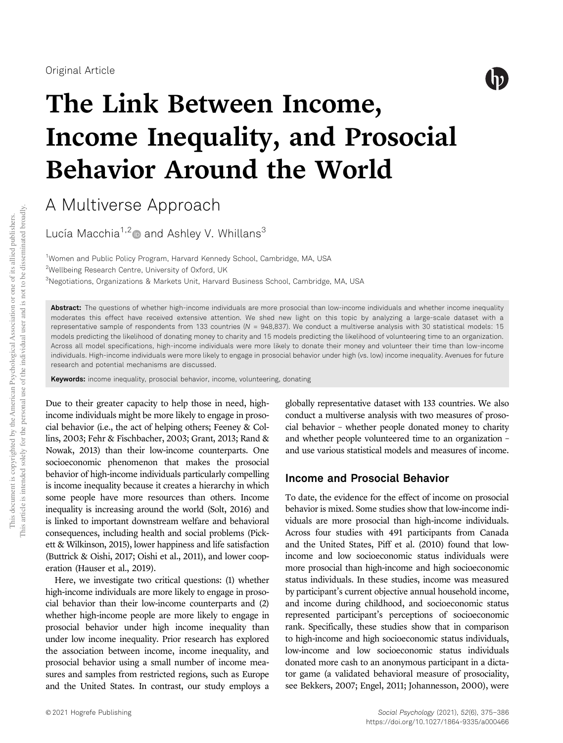

# The Link Between Income, Income Inequality, and Prosocial Behavior Around the World

A Multiverse Approach

Lucía Macchia<sup>1,2</sup> $\bullet$  and Ashley V. Whillans<sup>3</sup>

<sup>1</sup>Women and Public Policy Program, Harvard Kennedy School, Cambridge, MA, USA <sup>2</sup>Wellbeing Research Centre, University of Oxford, UK <sup>3</sup>Negotiations, Organizations & Markets Unit, Harvard Business School, Cambridge, MA, USA

Abstract: The questions of whether high-income individuals are more prosocial than low-income individuals and whether income inequality moderates this effect have received extensive attention. We shed new light on this topic by analyzing a large-scale dataset with a representative sample of respondents from 133 countries (*N* = 948,837). We conduct a multiverse analysis with 30 statistical models: 15 models predicting the likelihood of donating money to charity and 15 models predicting the likelihood of volunteering time to an organization. Across all model specifications, high-income individuals were more likely to donate their money and volunteer their time than low-income individuals. High-income individuals were more likely to engage in prosocial behavior under high (vs. low) income inequality. Avenues for future research and potential mechanisms are discussed.

Keywords: income inequality, prosocial behavior, income, volunteering, donating

Due to their greater capacity to help those in need, highincome individuals might be more likely to engage in prosocial behavior (i.e., the act of helping others; Feeney & Collins, 2003; Fehr & Fischbacher, 2003; Grant, 2013; Rand & Nowak, 2013) than their low-income counterparts. One socioeconomic phenomenon that makes the prosocial behavior of high-income individuals particularly compelling is income inequality because it creates a hierarchy in which some people have more resources than others. Income inequality is increasing around the world (Solt, 2016) and is linked to important downstream welfare and behavioral consequences, including health and social problems (Pickett & Wilkinson, 2015), lower happiness and life satisfaction (Buttrick & Oishi, 2017; Oishi et al., 2011), and lower cooperation (Hauser et al., 2019).

Here, we investigate two critical questions: (1) whether high-income individuals are more likely to engage in prosocial behavior than their low-income counterparts and (2) whether high-income people are more likely to engage in prosocial behavior under high income inequality than under low income inequality. Prior research has explored the association between income, income inequality, and prosocial behavior using a small number of income measures and samples from restricted regions, such as Europe and the United States. In contrast, our study employs a

globally representative dataset with 133 countries. We also conduct a multiverse analysis with two measures of prosocial behavior – whether people donated money to charity and whether people volunteered time to an organization – and use various statistical models and measures of income.

### Income and Prosocial Behavior

To date, the evidence for the effect of income on prosocial behavior is mixed. Some studies show that low-income individuals are more prosocial than high-income individuals. Across four studies with 491 participants from Canada and the United States, Piff et al. (2010) found that lowincome and low socioeconomic status individuals were more prosocial than high-income and high socioeconomic status individuals. In these studies, income was measured by participant's current objective annual household income, and income during childhood, and socioeconomic status represented participant's perceptions of socioeconomic rank. Specifically, these studies show that in comparison to high-income and high socioeconomic status individuals, low-income and low socioeconomic status individuals donated more cash to an anonymous participant in a dictator game (a validated behavioral measure of prosociality, see Bekkers, 2007; Engel, 2011; Johannesson, 2000), were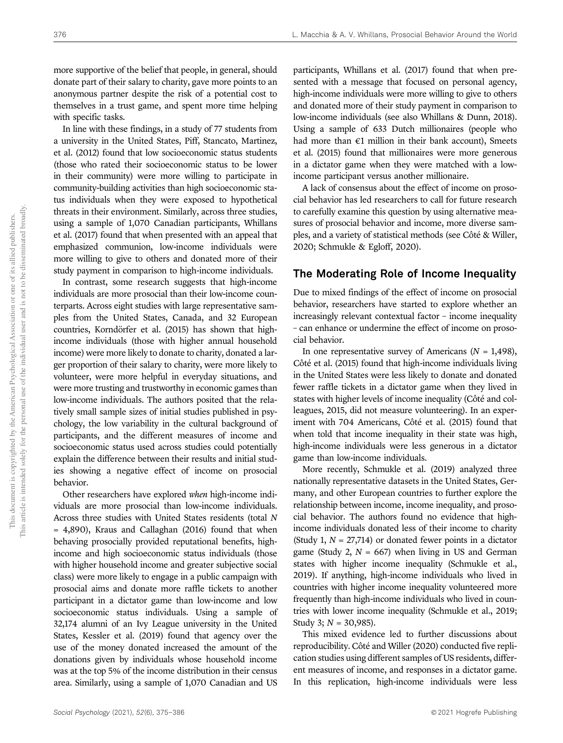more supportive of the belief that people, in general, should donate part of their salary to charity, gave more points to an anonymous partner despite the risk of a potential cost to themselves in a trust game, and spent more time helping with specific tasks.

In line with these findings, in a study of 77 students from a university in the United States, Piff, Stancato, Martinez, et al. (2012) found that low socioeconomic status students (those who rated their socioeconomic status to be lower in their community) were more willing to participate in community-building activities than high socioeconomic status individuals when they were exposed to hypothetical threats in their environment. Similarly, across three studies, using a sample of 1,070 Canadian participants, Whillans et al. (2017) found that when presented with an appeal that emphasized communion, low-income individuals were more willing to give to others and donated more of their study payment in comparison to high-income individuals.

In contrast, some research suggests that high-income individuals are more prosocial than their low-income counterparts. Across eight studies with large representative samples from the United States, Canada, and 32 European countries, Korndörfer et al. (2015) has shown that highincome individuals (those with higher annual household income) were more likely to donate to charity, donated a larger proportion of their salary to charity, were more likely to volunteer, were more helpful in everyday situations, and were more trusting and trustworthy in economic games than low-income individuals. The authors posited that the relatively small sample sizes of initial studies published in psychology, the low variability in the cultural background of participants, and the different measures of income and socioeconomic status used across studies could potentially explain the difference between their results and initial studies showing a negative effect of income on prosocial behavior.

Other researchers have explored when high-income individuals are more prosocial than low-income individuals. Across three studies with United States residents (total N = 4,890), Kraus and Callaghan (2016) found that when behaving prosocially provided reputational benefits, highincome and high socioeconomic status individuals (those with higher household income and greater subjective social class) were more likely to engage in a public campaign with prosocial aims and donate more raffle tickets to another participant in a dictator game than low-income and low socioeconomic status individuals. Using a sample of 32,174 alumni of an Ivy League university in the United States, Kessler et al. (2019) found that agency over the use of the money donated increased the amount of the donations given by individuals whose household income was at the top 5% of the income distribution in their census area. Similarly, using a sample of 1,070 Canadian and US

participants, Whillans et al. (2017) found that when presented with a message that focused on personal agency, high-income individuals were more willing to give to others and donated more of their study payment in comparison to low-income individuals (see also Whillans & Dunn, 2018). Using a sample of 633 Dutch millionaires (people who had more than  $€1$  million in their bank account), Smeets et al. (2015) found that millionaires were more generous in a dictator game when they were matched with a lowincome participant versus another millionaire.

A lack of consensus about the effect of income on prosocial behavior has led researchers to call for future research to carefully examine this question by using alternative measures of prosocial behavior and income, more diverse samples, and a variety of statistical methods (see Côté & Willer, 2020; Schmukle & Egloff, 2020).

### The Moderating Role of Income Inequality

Due to mixed findings of the effect of income on prosocial behavior, researchers have started to explore whether an increasingly relevant contextual factor – income inequality – can enhance or undermine the effect of income on prosocial behavior.

In one representative survey of Americans ( $N = 1,498$ ), Côté et al. (2015) found that high-income individuals living in the United States were less likely to donate and donated fewer raffle tickets in a dictator game when they lived in states with higher levels of income inequality (Côté and colleagues, 2015, did not measure volunteering). In an experiment with 704 Americans, Côté et al. (2015) found that when told that income inequality in their state was high, high-income individuals were less generous in a dictator game than low-income individuals.

More recently, Schmukle et al. (2019) analyzed three nationally representative datasets in the United States, Germany, and other European countries to further explore the relationship between income, income inequality, and prosocial behavior. The authors found no evidence that highincome individuals donated less of their income to charity (Study 1,  $N = 27,714$ ) or donated fewer points in a dictator game (Study 2,  $N = 667$ ) when living in US and German states with higher income inequality (Schmukle et al., 2019). If anything, high-income individuals who lived in countries with higher income inequality volunteered more frequently than high-income individuals who lived in countries with lower income inequality (Schmukle et al., 2019; Study 3;  $N = 30,985$ ).

This mixed evidence led to further discussions about reproducibility. Côté and Willer (2020) conducted five replication studies using different samples of US residents, different measures of income, and responses in a dictator game. In this replication, high-income individuals were less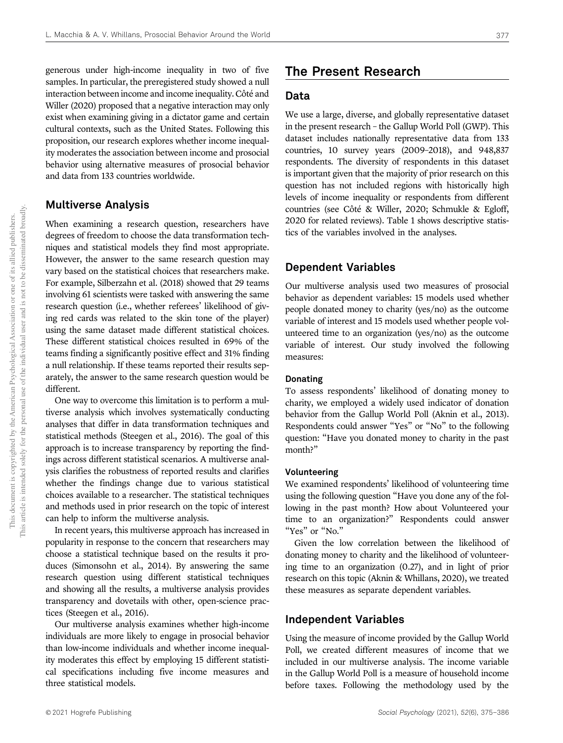generous under high-income inequality in two of five samples. In particular, the preregistered study showed a null interaction between income and income inequality. Côté and Willer (2020) proposed that a negative interaction may only exist when examining giving in a dictator game and certain cultural contexts, such as the United States. Following this proposition, our research explores whether income inequality moderates the association between income and prosocial behavior using alternative measures of prosocial behavior and data from 133 countries worldwide.

### Multiverse Analysis

When examining a research question, researchers have degrees of freedom to choose the data transformation techniques and statistical models they find most appropriate. However, the answer to the same research question may vary based on the statistical choices that researchers make. For example, Silberzahn et al. (2018) showed that 29 teams involving 61 scientists were tasked with answering the same research question (i.e., whether referees' likelihood of giving red cards was related to the skin tone of the player) using the same dataset made different statistical choices. These different statistical choices resulted in 69% of the teams finding a significantly positive effect and 31% finding a null relationship. If these teams reported their results separately, the answer to the same research question would be different.

One way to overcome this limitation is to perform a multiverse analysis which involves systematically conducting analyses that differ in data transformation techniques and statistical methods (Steegen et al., 2016). The goal of this approach is to increase transparency by reporting the findings across different statistical scenarios. A multiverse analysis clarifies the robustness of reported results and clarifies whether the findings change due to various statistical choices available to a researcher. The statistical techniques and methods used in prior research on the topic of interest can help to inform the multiverse analysis.

In recent years, this multiverse approach has increased in popularity in response to the concern that researchers may choose a statistical technique based on the results it produces (Simonsohn et al., 2014). By answering the same research question using different statistical techniques and showing all the results, a multiverse analysis provides transparency and dovetails with other, open-science practices (Steegen et al., 2016).

Our multiverse analysis examines whether high-income individuals are more likely to engage in prosocial behavior than low-income individuals and whether income inequality moderates this effect by employing 15 different statistical specifications including five income measures and three statistical models.

### The Present Research

### Data

We use a large, diverse, and globally representative dataset in the present research – the Gallup World Poll (GWP). This dataset includes nationally representative data from 133 countries, 10 survey years (2009–2018), and 948,837 respondents. The diversity of respondents in this dataset is important given that the majority of prior research on this question has not included regions with historically high levels of income inequality or respondents from different countries (see Côté & Willer, 2020; Schmukle & Egloff, 2020 for related reviews). Table 1 shows descriptive statistics of the variables involved in the analyses.

### Dependent Variables

Our multiverse analysis used two measures of prosocial behavior as dependent variables: 15 models used whether people donated money to charity (yes/no) as the outcome variable of interest and 15 models used whether people volunteered time to an organization (yes/no) as the outcome variable of interest. Our study involved the following measures:

### Donating

To assess respondents' likelihood of donating money to charity, we employed a widely used indicator of donation behavior from the Gallup World Poll (Aknin et al., 2013). Respondents could answer "Yes" or "No" to the following question: "Have you donated money to charity in the past month?"

### Volunteering

We examined respondents' likelihood of volunteering time using the following question "Have you done any of the following in the past month? How about Volunteered your time to an organization?" Respondents could answer "Yes" or "No."

Given the low correlation between the likelihood of donating money to charity and the likelihood of volunteering time to an organization (0.27), and in light of prior research on this topic (Aknin & Whillans, 2020), we treated these measures as separate dependent variables.

### Independent Variables

Using the measure of income provided by the Gallup World Poll, we created different measures of income that we included in our multiverse analysis. The income variable in the Gallup World Poll is a measure of household income before taxes. Following the methodology used by the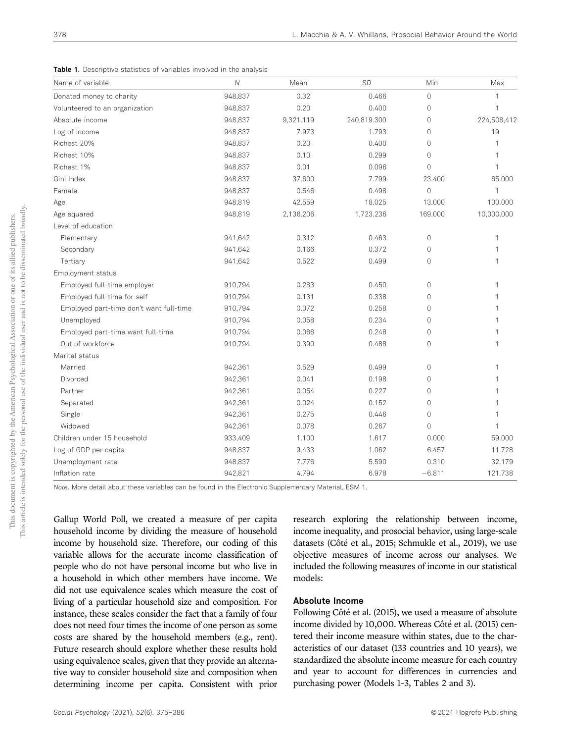Table 1. Descriptive statistics of variables involved in the analysis

| Name of variable                        | $\mathcal N$ | Mean      | <b>SD</b>   | Min          | Max          |
|-----------------------------------------|--------------|-----------|-------------|--------------|--------------|
| Donated money to charity                | 948,837      | 0.32      | 0.466       | $\circ$      | 1            |
| Volunteered to an organization          | 948,837      | 0.20      | 0.400       | $\mathbf{0}$ | $\mathbf{1}$ |
| Absolute income                         | 948,837      | 9,321.119 | 240,819.300 | $\mathbb O$  | 224,508,412  |
| Log of income                           | 948,837      | 7.973     | 1.793       | $\mathbb O$  | 19           |
| Richest 20%                             | 948,837      | 0.20      | 0.400       | 0            | 1            |
| Richest 10%                             | 948,837      | 0.10      | 0.299       | $\mathbf{0}$ | 1            |
| Richest 1%                              | 948,837      | 0.01      | 0.096       | $\mathbf{0}$ | 1            |
| Gini Index                              | 948,837      | 37.600    | 7.799       | 23.400       | 65.000       |
| Female                                  | 948,837      | 0.546     | 0.498       | $\mathbb O$  | 1            |
| Age                                     | 948,819      | 42.559    | 18.025      | 13.000       | 100.000      |
| Age squared                             | 948,819      | 2,136.206 | 1,723.236   | 169.000      | 10,000.000   |
| Level of education                      |              |           |             |              |              |
| Elementary                              | 941,642      | 0.312     | 0.463       | $\circ$      | 1            |
| Secondary                               | 941,642      | 0.166     | 0.372       | $\mathbf{0}$ | 1            |
| Tertiary                                | 941,642      | 0.522     | 0.499       | $\mathbf{0}$ | 1            |
| Employment status                       |              |           |             |              |              |
| Employed full-time employer             | 910,794      | 0.283     | 0.450       | $\mathbb O$  | 1            |
| Employed full-time for self             | 910,794      | 0.131     | 0.338       | $\mathbf{0}$ |              |
| Employed part-time don't want full-time | 910,794      | 0.072     | 0.258       | $\mathbf{0}$ |              |
| Unemployed                              | 910,794      | 0.058     | 0.234       | 0            |              |
| Employed part-time want full-time       | 910,794      | 0.066     | 0.248       | 0            | 1            |
| Out of workforce                        | 910,794      | 0.390     | 0.488       | 0            | 1            |
| Marital status                          |              |           |             |              |              |
| Married                                 | 942,361      | 0.529     | 0.499       | $\mathbb O$  |              |
| Divorced                                | 942,361      | 0.041     | 0.198       | $\mathbb O$  |              |
| Partner                                 | 942,361      | 0.054     | 0.227       | 0            |              |
| Separated                               | 942,361      | 0.024     | 0.152       | 0            | 1            |
| Single                                  | 942,361      | 0.275     | 0.446       | $\mathbf{0}$ | 1            |
| Widowed                                 | 942,361      | 0.078     | 0.267       | 0            | $\mathbf{1}$ |
| Children under 15 household             | 933,409      | 1.100     | 1.617       | 0.000        | 59.000       |
| Log of GDP per capita                   | 948,837      | 9.433     | 1.062       | 6.457        | 11.728       |
| Unemployment rate                       | 948,837      | 7.776     | 5.590       | 0.310        | 32.179       |
| Inflation rate                          | 942,821      | 4.794     | 6.978       | $-6.811$     | 121.738      |

*Note*. More detail about these variables can be found in the Electronic Supplementary Material, ESM 1.

Gallup World Poll, we created a measure of per capita household income by dividing the measure of household income by household size. Therefore, our coding of this variable allows for the accurate income classification of people who do not have personal income but who live in a household in which other members have income. We did not use equivalence scales which measure the cost of living of a particular household size and composition. For instance, these scales consider the fact that a family of four does not need four times the income of one person as some costs are shared by the household members (e.g., rent). Future research should explore whether these results hold using equivalence scales, given that they provide an alternative way to consider household size and composition when determining income per capita. Consistent with prior

research exploring the relationship between income, income inequality, and prosocial behavior, using large-scale datasets (Côté et al., 2015; Schmukle et al., 2019), we use objective measures of income across our analyses. We included the following measures of income in our statistical models:

### Absolute Income

Following Côté et al. (2015), we used a measure of absolute income divided by 10,000. Whereas Côté et al. (2015) centered their income measure within states, due to the characteristics of our dataset (133 countries and 10 years), we standardized the absolute income measure for each country and year to account for differences in currencies and purchasing power (Models 1–3, Tables 2 and 3).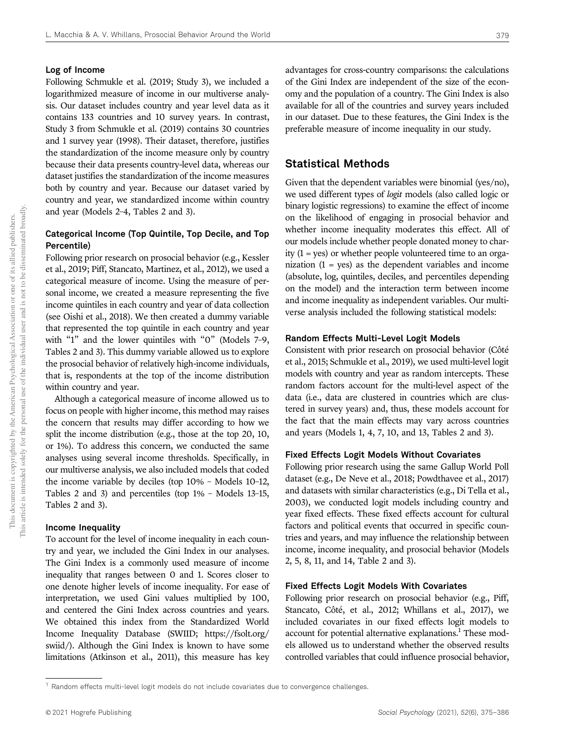### Log of Income

Following Schmukle et al. (2019; Study 3), we included a logarithmized measure of income in our multiverse analysis. Our dataset includes country and year level data as it contains 133 countries and 10 survey years. In contrast, Study 3 from Schmukle et al. (2019) contains 30 countries and 1 survey year (1998). Their dataset, therefore, justifies the standardization of the income measure only by country because their data presents country-level data, whereas our dataset justifies the standardization of the income measures both by country and year. Because our dataset varied by country and year, we standardized income within country and year (Models 2–4, Tables 2 and 3).

### Categorical Income (Top Quintile, Top Decile, and Top Percentile)

Following prior research on prosocial behavior (e.g., Kessler et al., 2019; Piff, Stancato, Martinez, et al., 2012), we used a categorical measure of income. Using the measure of personal income, we created a measure representing the five income quintiles in each country and year of data collection (see Oishi et al., 2018). We then created a dummy variable that represented the top quintile in each country and year with "1" and the lower quintiles with "0" (Models 7–9, Tables 2 and 3). This dummy variable allowed us to explore the prosocial behavior of relatively high-income individuals, that is, respondents at the top of the income distribution within country and year.

Although a categorical measure of income allowed us to focus on people with higher income, this method may raises the concern that results may differ according to how we split the income distribution (e.g., those at the top 20, 10, or 1%). To address this concern, we conducted the same analyses using several income thresholds. Specifically, in our multiverse analysis, we also included models that coded the income variable by deciles (top 10% – Models 10–12, Tables 2 and 3) and percentiles (top 1% – Models 13–15, Tables 2 and 3).

#### Income Inequality

To account for the level of income inequality in each country and year, we included the Gini Index in our analyses. The Gini Index is a commonly used measure of income inequality that ranges between 0 and 1. Scores closer to one denote higher levels of income inequality. For ease of interpretation, we used Gini values multiplied by 100, and centered the Gini Index across countries and years. We obtained this index from the Standardized World Income Inequality Database (SWIID; https://fsolt.org/ swiid/). Although the Gini Index is known to have some limitations (Atkinson et al., 2011), this measure has key

advantages for cross-country comparisons: the calculations of the Gini Index are independent of the size of the economy and the population of a country. The Gini Index is also available for all of the countries and survey years included in our dataset. Due to these features, the Gini Index is the preferable measure of income inequality in our study.

### Statistical Methods

Given that the dependent variables were binomial (yes/no), we used different types of logit models (also called logic or binary logistic regressions) to examine the effect of income on the likelihood of engaging in prosocial behavior and whether income inequality moderates this effect. All of our models include whether people donated money to charity (1 = yes) or whether people volunteered time to an organization  $(1 = yes)$  as the dependent variables and income (absolute, log, quintiles, deciles, and percentiles depending on the model) and the interaction term between income and income inequality as independent variables. Our multiverse analysis included the following statistical models:

### Random Effects Multi-Level Logit Models

Consistent with prior research on prosocial behavior (Côté et al., 2015; Schmukle et al., 2019), we used multi-level logit models with country and year as random intercepts. These random factors account for the multi-level aspect of the data (i.e., data are clustered in countries which are clustered in survey years) and, thus, these models account for the fact that the main effects may vary across countries and years (Models 1, 4, 7, 10, and 13, Tables 2 and 3).

### Fixed Effects Logit Models Without Covariates

Following prior research using the same Gallup World Poll dataset (e.g., De Neve et al., 2018; Powdthavee et al., 2017) and datasets with similar characteristics (e.g., Di Tella et al., 2003), we conducted logit models including country and year fixed effects. These fixed effects account for cultural factors and political events that occurred in specific countries and years, and may influence the relationship between income, income inequality, and prosocial behavior (Models 2, 5, 8, 11, and 14, Table 2 and 3).

### Fixed Effects Logit Models With Covariates

Following prior research on prosocial behavior (e.g., Piff, Stancato, Côté, et al., 2012; Whillans et al., 2017), we included covariates in our fixed effects logit models to account for potential alternative explanations.<sup>1</sup> These models allowed us to understand whether the observed results controlled variables that could influence prosocial behavior,

 $1$  Random effects multi-level logit models do not include covariates due to convergence challenges.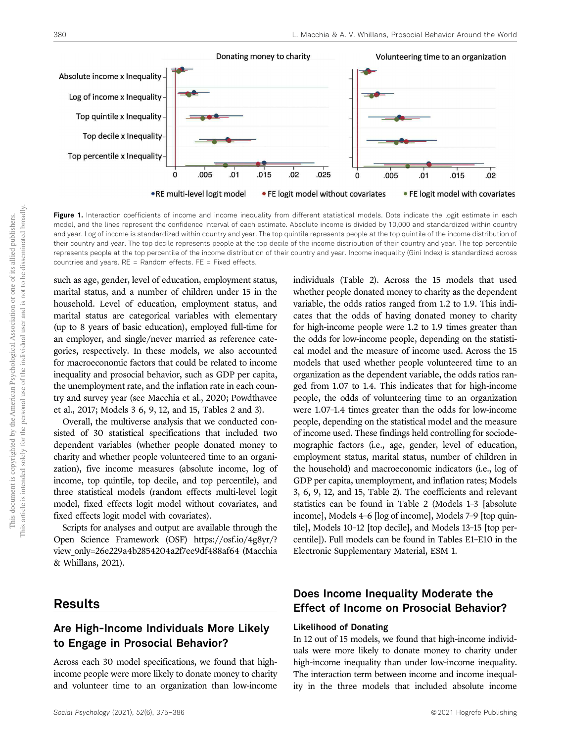

Figure 1. Interaction coefficients of income and income inequality from different statistical models. Dots indicate the logit estimate in each model, and the lines represent the confidence interval of each estimate. Absolute income is divided by 10,000 and standardized within country and year. Log of income is standardized within country and year. The top quintile represents people at the top quintile of the income distribution of their country and year. The top decile represents people at the top decile of the income distribution of their country and year. The top percentile represents people at the top percentile of the income distribution of their country and year. Income inequality (Gini Index) is standardized across countries and years. RE = Random effects. FE = Fixed effects.

such as age, gender, level of education, employment status, marital status, and a number of children under 15 in the household. Level of education, employment status, and marital status are categorical variables with elementary (up to 8 years of basic education), employed full-time for an employer, and single/never married as reference categories, respectively. In these models, we also accounted for macroeconomic factors that could be related to income inequality and prosocial behavior, such as GDP per capita, the unemployment rate, and the inflation rate in each country and survey year (see Macchia et al., 2020; Powdthavee et al., 2017; Models 3 6, 9, 12, and 15, Tables 2 and 3).

Overall, the multiverse analysis that we conducted consisted of 30 statistical specifications that included two dependent variables (whether people donated money to charity and whether people volunteered time to an organization), five income measures (absolute income, log of income, top quintile, top decile, and top percentile), and three statistical models (random effects multi-level logit model, fixed effects logit model without covariates, and fixed effects logit model with covariates).

Scripts for analyses and output are available through the Open Science Framework (OSF) https://osf.io/4g8yr/? view\_only=26e229a4b2854204a2f7ee9df488af64 (Macchia & Whillans, 2021).

### Results

### Are High-Income Individuals More Likely to Engage in Prosocial Behavior?

Across each 30 model specifications, we found that highincome people were more likely to donate money to charity and volunteer time to an organization than low-income variable, the odds ratios ranged from 1.2 to 1.9. This indicates that the odds of having donated money to charity for high-income people were 1.2 to 1.9 times greater than the odds for low-income people, depending on the statistical model and the measure of income used. Across the 15 models that used whether people volunteered time to an organization as the dependent variable, the odds ratios ranged from 1.07 to 1.4. This indicates that for high-income people, the odds of volunteering time to an organization were 1.07–1.4 times greater than the odds for low-income people, depending on the statistical model and the measure of income used. These findings held controlling for sociodemographic factors (i.e., age, gender, level of education, employment status, marital status, number of children in the household) and macroeconomic indicators (i.e., log of GDP per capita, unemployment, and inflation rates; Models 3, 6, 9, 12, and 15, Table 2). The coefficients and relevant statistics can be found in Table 2 (Models 1–3 [absolute income], Models 4–6 [log of income], Models 7–9 [top quintile], Models 10–12 [top decile], and Models 13–15 [top percentile]). Full models can be found in Tables E1–E10 in the Electronic Supplementary Material, ESM 1.

individuals (Table 2). Across the 15 models that used whether people donated money to charity as the dependent

### Does Income Inequality Moderate the Effect of Income on Prosocial Behavior?

### Likelihood of Donating

In 12 out of 15 models, we found that high-income individuals were more likely to donate money to charity under high-income inequality than under low-income inequality. The interaction term between income and income inequality in the three models that included absolute income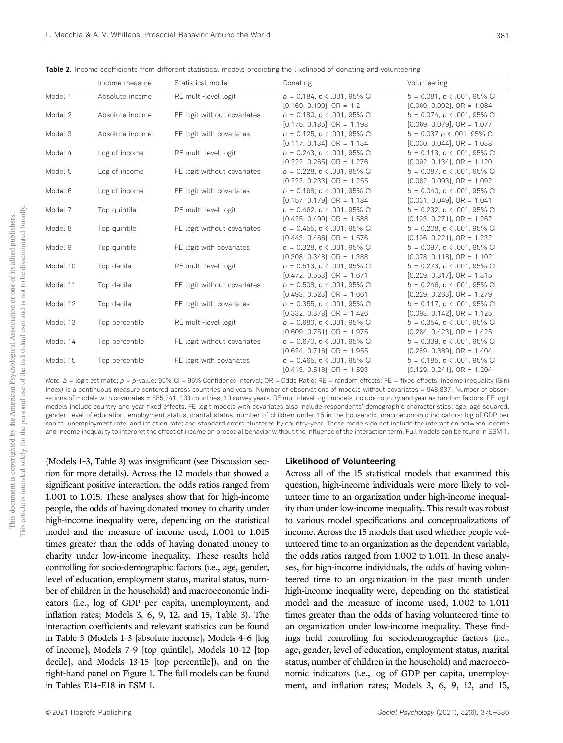Table 2. Income coefficients from different statistical models predicting the likelihood of donating and volunteering

|          | Income measure  | Statistical model           | Donating                             | Volunteering                          |
|----------|-----------------|-----------------------------|--------------------------------------|---------------------------------------|
| Model 1  | Absolute income | RE multi-level logit        | $b = 0.184$ , $p \lt 0.001$ , 95% CI | $b = 0.081$ , $p \lt 0.001$ , 95% CI  |
|          |                 |                             | $[0.169, 0.199],$ OR = 1.2           | $[0.069, 0.092],$ OR = 1.084          |
| Model 2  | Absolute income | FE logit without covariates | $b = 0.180$ , $p \lt 0.001$ , 95% CI | $b = 0.074$ , $p \lt 0.001$ , 95% CI  |
|          |                 |                             | $[0.175, 0.185], OR = 1.198$         | $[0.069, 0.079], OR = 1.077$          |
| Model 3  | Absolute income | FE logit with covariates    | $b = 0.125$ , $p \lt 0.001$ , 95% CI | $b = 0.037 p \le 0.001$ , 95% CI      |
|          |                 |                             | $[0.117, 0.134], OR = 1.134$         | $[0.030, 0.044], OR = 1.038$          |
| Model 4  | Log of income   | RE multi-level logit        | $b = 0.243$ , $p \lt 0.001$ , 95% CI | $b = 0.113$ , $p \lt 0.001$ , 95% CI  |
|          |                 |                             | $[0.222, 0.265], OR = 1.276$         | $[0.092, 0.134], OR = 1.120$          |
| Model 5  | Log of income   | FE logit without covariates | $b = 0.228$ , $p \lt 0.001$ , 95% CI | $b = 0.087$ , $p \lt 0.001$ , 95% CI  |
|          |                 |                             | $[0.222, 0.233], OR = 1.255$         | $[0.082, 0.093], OR = 1.092$          |
| Model 6  | Log of income   | FE logit with covariates    | $b = 0.168$ , $p \lt 0.001$ , 95% CI | $b = 0.040$ , $p \lt 0.001$ , 95% CI  |
|          |                 |                             | $[0.157, 0.179]$ , OR = 1.184        | $[0.031, 0.049], OR = 1.041$          |
| Model 7  | Top quintile    | RE multi-level logit        | $b = 0.462$ , $p \lt 0.001$ , 95% CI | $b = 0.232$ , $p \lt 0.001$ , 95% CI  |
|          |                 |                             | $[0.425, 0.499], OR = 1.588$         | $[0.193, 0.271], OR = 1.262$          |
| Model 8  | Top quintile    | FE logit without covariates | $b = 0.455$ , $p \lt 0.001$ , 95% CI | $b = 0.208$ , $p \lt 0.001$ , 95% CI  |
|          |                 |                             | $[0.443, 0.466], OR = 1.576$         | $[0.196, 0.221], OR = 1.232$          |
| Model 9  | Top quintile    | FE logit with covariates    | $b = 0.328$ , $p \lt 0.001$ , 95% CI | $b = 0.097$ , $p \lt 0.001$ , 95% CI  |
|          |                 |                             | $[0.308, 0.348], OR = 1.388$         | $[0.078, 0.118], \text{ OR } = 1.102$ |
| Model 10 | Top decile      | RE multi-level logit        | $b = 0.513$ , $p \lt 0.001$ , 95% CI | $b = 0.273$ , $p \lt 0.001$ , 95% CI  |
|          |                 |                             | $[0.472, 0.553],$ OR = 1.671         | $[0.229, 0.317],$ OR = 1.315          |
| Model 11 | Top decile      | FE logit without covariates | $b = 0.508$ , $p \lt 0.001$ , 95% CI | $b = 0.246$ , $p \lt 0.001$ , 95% CI  |
|          |                 |                             | $[0.493, 0.523]$ , OR = 1.661        | $[0.229, 0.263]$ , OR = 1.279         |
| Model 12 | Top decile      | FE logit with covariates    | $b = 0.355$ , $p \lt 0.001$ , 95% CI | $b = 0.117$ , $p \lt 0.001$ , 95% CI  |
|          |                 |                             | $[0.332, 0.378]$ , OR = 1.426        | $[0.093, 0.142], OR = 1.125$          |
| Model 13 | Top percentile  | RE multi-level logit        | $b = 0.680$ , $p \lt 0.001$ , 95% CI | $b = 0.354$ , $p \lt 0.001$ , 95% CI  |
|          |                 |                             | $[0.609, 0.751], OR = 1.975$         | $[0.284, 0.423], OR = 1.425$          |
| Model 14 | Top percentile  | FE logit without covariates | $b = 0.670$ , $p \lt 0.001$ , 95% CI | $b = 0.339$ , $p \lt 0.001$ , 95% CI  |
|          |                 |                             | $[0.624, 0.716]$ , OR = 1.955        | $[0.289, 0.389],$ OR = 1.404          |
| Model 15 | Top percentile  | FE logit with covariates    | $b = 0.465$ , $p \lt 0.001$ , 95% CI | $b = 0.185$ , $p \lt 0.001$ , 95% CI  |
|          |                 |                             | $[0.413, 0.518], OR = 1.593$         | $[0.129, 0.241], OR = 1.204$          |

*Note. b* = logit estimate;  $p = p$ -value; 95% CI = 95% Confidence Interval; OR = Odds Ratio; RE = random effects; FE = fixed effects. Income inequality (Gini Index) is a continuous measure centered across countries and years. Number of observations of models without covariates = 948,837; Number of observations of models with covariates = 885,241. 133 countries, 10 survey years. RE multi-level logit models include country and year as random factors. FE logit models include country and year fixed effects. FE logit models with covariates also include respondents' demographic characteristics: age, age squared, gender, level of education, employment status, marital status, number of children under 15 in the household, macroeconomic indicators: log of GDP per capita, unemployment rate, and inflation rate; and standard errors clustered by country-year. These models do not include the interaction between income and income inequality to interpret the effect of income on prosocial behavior without the influence of the interaction term. Full models can be found in ESM 1.

(Models 1–3, Table 3) was insignificant (see Discussion section for more details). Across the 12 models that showed a significant positive interaction, the odds ratios ranged from 1.001 to 1.015. These analyses show that for high-income people, the odds of having donated money to charity under high-income inequality were, depending on the statistical model and the measure of income used, 1.001 to 1.015 times greater than the odds of having donated money to charity under low-income inequality. These results held controlling for socio-demographic factors (i.e., age, gender, level of education, employment status, marital status, number of children in the household) and macroeconomic indicators (i.e., log of GDP per capita, unemployment, and inflation rates; Models 3, 6, 9, 12, and 15, Table 3). The interaction coefficients and relevant statistics can be found in Table 3 (Models 1–3 [absolute income], Models 4–6 [log of income], Models 7–9 [top quintile], Models 10–12 [top decile], and Models 13–15 [top percentile]), and on the right-hand panel on Figure 1. The full models can be found in Tables E14–E18 in ESM 1.

### Likelihood of Volunteering

Across all of the 15 statistical models that examined this question, high-income individuals were more likely to volunteer time to an organization under high-income inequality than under low-income inequality. This result was robust to various model specifications and conceptualizations of income. Across the 15 models that used whether people volunteered time to an organization as the dependent variable, the odds ratios ranged from 1.002 to 1.011. In these analyses, for high-income individuals, the odds of having volunteered time to an organization in the past month under high-income inequality were, depending on the statistical model and the measure of income used, 1.002 to 1.011 times greater than the odds of having volunteered time to an organization under low-income inequality. These findings held controlling for sociodemographic factors (i.e., age, gender, level of education, employment status, marital status, number of children in the household) and macroeconomic indicators (i.e., log of GDP per capita, unemployment, and inflation rates; Models 3, 6, 9, 12, and 15,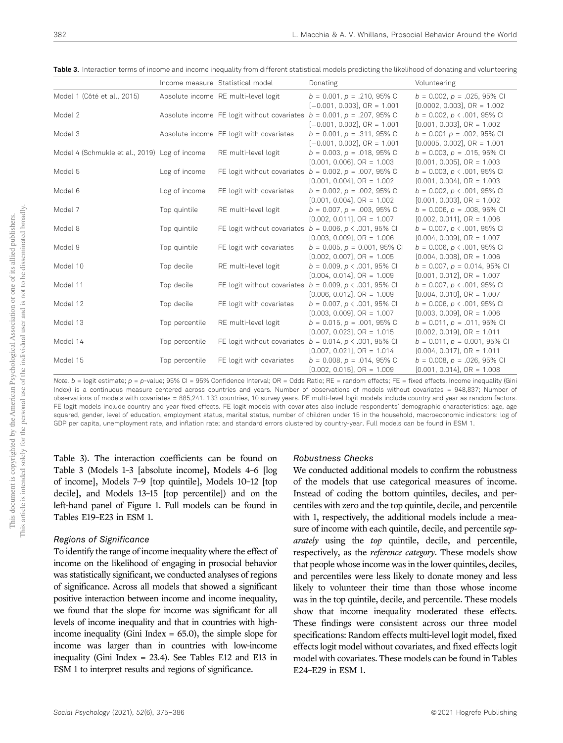Table 3. Interaction terms of income and income inequality from different statistical models predicting the likelihood of donating and volunteering

|                                               |                | Income measure Statistical model         | Donating                                                                                                        | Volunteering                                                                                       |
|-----------------------------------------------|----------------|------------------------------------------|-----------------------------------------------------------------------------------------------------------------|----------------------------------------------------------------------------------------------------|
| Model 1 (Côté et al., 2015)                   |                | Absolute income RE multi-level logit     | $b = 0.001$ , $p = .210$ , 95% CI<br>$[-0.001, 0.003]$ , OR = 1.001                                             | $b = 0.002$ , $p = .025$ , 95% CI<br>$[0.0002, 0.003], OR = 1.002$                                 |
| Model 2                                       |                |                                          | Absolute income FE logit without covariates $b = 0.001$ , $p = .207$ , 95% CI<br>$[-0.001, 0.002]$ , OR = 1.001 | $b = 0.002$ , $p \lt 0.001$ , 95% CI<br>$[0.001, 0.003], OR = 1.002$                               |
| Model 3                                       |                | Absolute income FE logit with covariates | $b = 0.001$ , $p = .311$ , 95% CI<br>$[-0.001, 0.002]$ , OR = 1.001                                             | $b = 0.001 p = .002, 95\%$ CI<br>$[0.0005, 0.002]$ , OR = 1.001                                    |
| Model 4 (Schmukle et al., 2019) Log of income |                | RE multi-level logit                     | $b = 0.003$ , $p = .018$ , 95% CI<br>$[0.001, 0.006], OR = 1.003$                                               | $b = 0.003$ , $p = .015$ , 95% CI<br>$[0.001, 0.005], OR = 1.003$                                  |
| Model 5                                       | Log of income  |                                          | FE logit without covariates $b = 0.002$ , $p = .007$ , 95% CI<br>$[0.001, 0.004], OR = 1.002$                   | $b = 0.003$ , $p \lt 0.001$ , 95% CI<br>$[0.001, 0.004], OR = 1.003$                               |
| Model 6                                       | Log of income  | FE logit with covariates                 | $b = 0.002$ , $p = .002$ , 95% CI<br>$[0.001, 0.004], OR = 1.002$                                               | $b = 0.002$ , $p \lt 0.001$ , 95% CI<br>$[0.001, 0.003], OR = 1.002$                               |
| Model 7                                       | Top quintile   | RE multi-level logit                     | $b = 0.007$ , $p = .003$ , 95% CI<br>$[0.002, 0.011], OR = 1.007$                                               | $b = 0.006$ , $p = .008$ , 95% CI<br>$[0.002, 0.011], OR = 1.006$                                  |
| Model 8                                       | Top quintile   |                                          | FE logit without covariates $b = 0.006$ , $p \lt 0.001$ , 95% CI<br>$[0.003, 0.009], OR = 1.006$                | $b = 0.007$ , $p \lt 0.001$ , 95% CI<br>$[0.004, 0.009], OR = 1.007$                               |
| Model 9                                       | Top quintile   | FE logit with covariates                 | $b = 0.005$ , $p = 0.001$ , 95% CI<br>$[0.002, 0.007], OR = 1.005$                                              | $b = 0.006$ , $p \lt 0.001$ , 95% CI<br>$[0.004, 0.008],$ OR = 1.006                               |
| Model 10                                      | Top decile     | RE multi-level logit                     | $b = 0.009$ , $p \lt 0.001$ , 95% CI<br>$[0.004, 0.014], OR = 1.009$                                            | $b = 0.007$ , $p = 0.014$ , 95% CI<br>$[0.001, 0.012], OR = 1.007$                                 |
| Model 11                                      | Top decile     |                                          | FE logit without covariates $b = 0.009$ , $p \lt 0.001$ , 95% CI<br>$[0.006, 0.012], OR = 1.009$                | $b = 0.007$ , $p \lt 0.001$ , 95% CI<br>$[0.004, 0.010], OR = 1.007$                               |
| Model 12                                      | Top decile     | FE logit with covariates                 | $b = 0.007$ , $p \lt 0.001$ , 95% CI<br>$[0.003, 0.009], OR = 1.007$                                            | $b = 0.006$ , $p \lt 0.001$ , 95% CI<br>$[0.003, 0.009], OR = 1.006$                               |
| Model 13                                      | Top percentile | RE multi-level logit                     | $b = 0.015$ , $p = .001$ , 95% CI<br>$[0.007, 0.023]$ , OR = 1.015                                              | $b = 0.011$ , $p = .011$ , 95% CI<br>$[0.002, 0.019]$ , OR = 1.011                                 |
| Model 14                                      | Top percentile |                                          | FE logit without covariates $b = 0.014$ , $p \lt 0.001$ , 95% CI                                                | $b = 0.011$ , $p = 0.001$ , 95% CI                                                                 |
| Model 15                                      | Top percentile | FE logit with covariates                 | $[0.007, 0.021]$ , OR = 1.014<br>$b = 0.008$ , $p = .014$ , 95% CI<br>$[0.002, 0.015],$ OR = 1.009              | $[0.004, 0.017]$ , OR = 1.011<br>$b = 0.008$ , $p = .026$ , 95% CI<br>$[0.001, 0.014], OR = 1.008$ |

*Note. b* = logit estimate;  $p = p$ -value; 95% CI = 95% Confidence Interval; OR = Odds Ratio; RE = random effects; FE = fixed effects. Income inequality (Gini Index) is a continuous measure centered across countries and years. Number of observations of models without covariates = 948,837; Number of observations of models with covariates = 885,241. 133 countries, 10 survey years. RE multi-level logit models include country and year as random factors. FE logit models include country and year fixed effects. FE logit models with covariates also include respondents' demographic characteristics: age, age squared, gender, level of education, employment status, marital status, number of children under 15 in the household, macroeconomic indicators: log of GDP per capita, unemployment rate, and inflation rate; and standard errors clustered by country-year. Full models can be found in ESM 1.

Table 3). The interaction coefficients can be found on Table 3 (Models 1–3 [absolute income], Models 4–6 [log of income], Models 7–9 [top quintile], Models 10–12 [top decile], and Models 13–15 [top percentile]) and on the left-hand panel of Figure 1. Full models can be found in Tables E19–E23 in ESM 1.

### Regions of Significance

To identify the range of income inequality where the effect of income on the likelihood of engaging in prosocial behavior was statistically significant, we conducted analyses of regions of significance. Across all models that showed a significant positive interaction between income and income inequality, we found that the slope for income was significant for all levels of income inequality and that in countries with highincome inequality (Gini Index = 65.0), the simple slope for income was larger than in countries with low-income inequality (Gini Index = 23.4). See Tables E12 and E13 in ESM 1 to interpret results and regions of significance.

### Robustness Checks

We conducted additional models to confirm the robustness of the models that use categorical measures of income. Instead of coding the bottom quintiles, deciles, and percentiles with zero and the top quintile, decile, and percentile with 1, respectively, the additional models include a measure of income with each quintile, decile, and percentile separately using the top quintile, decile, and percentile, respectively, as the reference category. These models show that people whose income was in the lower quintiles, deciles, and percentiles were less likely to donate money and less likely to volunteer their time than those whose income was in the top quintile, decile, and percentile. These models show that income inequality moderated these effects. These findings were consistent across our three model specifications: Random effects multi-level logit model, fixed effects logit model without covariates, and fixed effects logit model with covariates. These models can be found in Tables E24–E29 in ESM 1.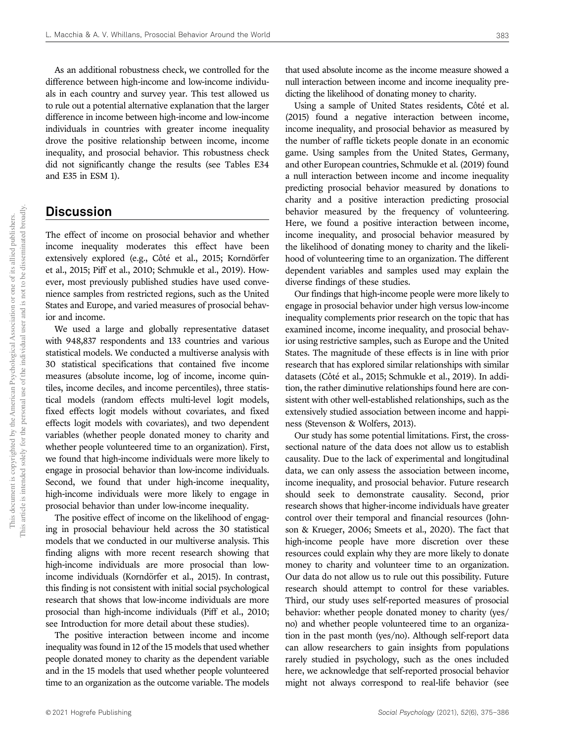As an additional robustness check, we controlled for the difference between high-income and low-income individuals in each country and survey year. This test allowed us to rule out a potential alternative explanation that the larger difference in income between high-income and low-income individuals in countries with greater income inequality drove the positive relationship between income, income inequality, and prosocial behavior. This robustness check did not significantly change the results (see Tables E34 and E35 in ESM 1).

### **Discussion**

The effect of income on prosocial behavior and whether income inequality moderates this effect have been extensively explored (e.g., Côté et al., 2015; Korndörfer et al., 2015; Piff et al., 2010; Schmukle et al., 2019). However, most previously published studies have used convenience samples from restricted regions, such as the United States and Europe, and varied measures of prosocial behavior and income.

We used a large and globally representative dataset with 948,837 respondents and 133 countries and various statistical models. We conducted a multiverse analysis with 30 statistical specifications that contained five income measures (absolute income, log of income, income quintiles, income deciles, and income percentiles), three statistical models (random effects multi-level logit models, fixed effects logit models without covariates, and fixed effects logit models with covariates), and two dependent variables (whether people donated money to charity and whether people volunteered time to an organization). First, we found that high-income individuals were more likely to engage in prosocial behavior than low-income individuals. Second, we found that under high-income inequality, high-income individuals were more likely to engage in prosocial behavior than under low-income inequality.

The positive effect of income on the likelihood of engaging in prosocial behaviour held across the 30 statistical models that we conducted in our multiverse analysis. This finding aligns with more recent research showing that high-income individuals are more prosocial than lowincome individuals (Korndörfer et al., 2015). In contrast, this finding is not consistent with initial social psychological research that shows that low-income individuals are more prosocial than high-income individuals (Piff et al., 2010; see Introduction for more detail about these studies).

The positive interaction between income and income inequality was found in 12 of the 15 models that used whether people donated money to charity as the dependent variable and in the 15 models that used whether people volunteered time to an organization as the outcome variable. The models that used absolute income as the income measure showed a null interaction between income and income inequality predicting the likelihood of donating money to charity.

Using a sample of United States residents, Côté et al. (2015) found a negative interaction between income, income inequality, and prosocial behavior as measured by the number of raffle tickets people donate in an economic game. Using samples from the United States, Germany, and other European countries, Schmukle et al. (2019) found a null interaction between income and income inequality predicting prosocial behavior measured by donations to charity and a positive interaction predicting prosocial behavior measured by the frequency of volunteering. Here, we found a positive interaction between income, income inequality, and prosocial behavior measured by the likelihood of donating money to charity and the likelihood of volunteering time to an organization. The different dependent variables and samples used may explain the diverse findings of these studies.

Our findings that high-income people were more likely to engage in prosocial behavior under high versus low-income inequality complements prior research on the topic that has examined income, income inequality, and prosocial behavior using restrictive samples, such as Europe and the United States. The magnitude of these effects is in line with prior research that has explored similar relationships with similar datasets (Côté et al., 2015; Schmukle et al., 2019). In addition, the rather diminutive relationships found here are consistent with other well-established relationships, such as the extensively studied association between income and happiness (Stevenson & Wolfers, 2013).

Our study has some potential limitations. First, the crosssectional nature of the data does not allow us to establish causality. Due to the lack of experimental and longitudinal data, we can only assess the association between income, income inequality, and prosocial behavior. Future research should seek to demonstrate causality. Second, prior research shows that higher-income individuals have greater control over their temporal and financial resources (Johnson & Krueger, 2006; Smeets et al., 2020). The fact that high-income people have more discretion over these resources could explain why they are more likely to donate money to charity and volunteer time to an organization. Our data do not allow us to rule out this possibility. Future research should attempt to control for these variables. Third, our study uses self-reported measures of prosocial behavior: whether people donated money to charity (yes/ no) and whether people volunteered time to an organization in the past month (yes/no). Although self-report data can allow researchers to gain insights from populations rarely studied in psychology, such as the ones included here, we acknowledge that self-reported prosocial behavior might not always correspond to real-life behavior (see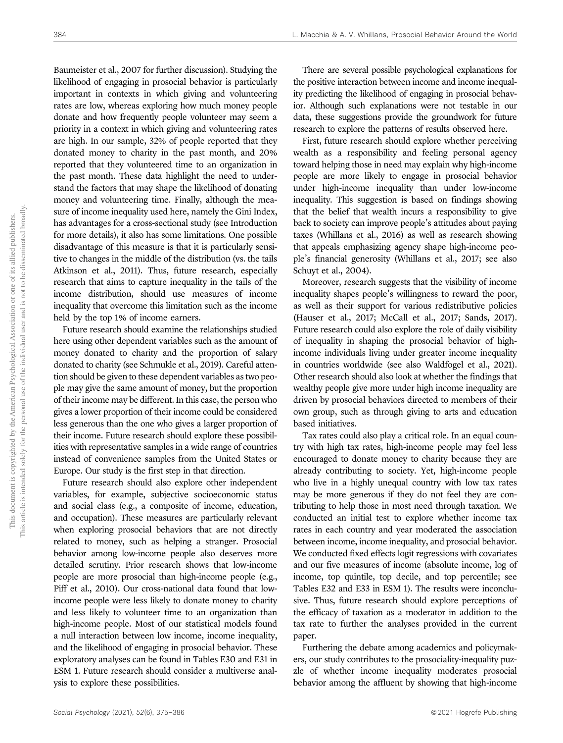Baumeister et al., 2007 for further discussion). Studying the likelihood of engaging in prosocial behavior is particularly important in contexts in which giving and volunteering rates are low, whereas exploring how much money people donate and how frequently people volunteer may seem a priority in a context in which giving and volunteering rates are high. In our sample, 32% of people reported that they donated money to charity in the past month, and 20% reported that they volunteered time to an organization in the past month. These data highlight the need to understand the factors that may shape the likelihood of donating money and volunteering time. Finally, although the measure of income inequality used here, namely the Gini Index, has advantages for a cross-sectional study (see Introduction for more details), it also has some limitations. One possible disadvantage of this measure is that it is particularly sensitive to changes in the middle of the distribution (vs. the tails Atkinson et al., 2011). Thus, future research, especially research that aims to capture inequality in the tails of the income distribution, should use measures of income inequality that overcome this limitation such as the income held by the top 1% of income earners.

Future research should examine the relationships studied here using other dependent variables such as the amount of money donated to charity and the proportion of salary donated to charity (see Schmukle et al., 2019). Careful attention should be given to these dependent variables as two people may give the same amount of money, but the proportion of their income may be different. In this case, the person who gives a lower proportion of their income could be considered less generous than the one who gives a larger proportion of their income. Future research should explore these possibilities with representative samples in a wide range of countries instead of convenience samples from the United States or Europe. Our study is the first step in that direction.

Future research should also explore other independent variables, for example, subjective socioeconomic status and social class (e.g., a composite of income, education, and occupation). These measures are particularly relevant when exploring prosocial behaviors that are not directly related to money, such as helping a stranger. Prosocial behavior among low-income people also deserves more detailed scrutiny. Prior research shows that low-income people are more prosocial than high-income people (e.g., Piff et al., 2010). Our cross-national data found that lowincome people were less likely to donate money to charity and less likely to volunteer time to an organization than high-income people. Most of our statistical models found a null interaction between low income, income inequality, and the likelihood of engaging in prosocial behavior. These exploratory analyses can be found in Tables E30 and E31 in ESM 1. Future research should consider a multiverse analysis to explore these possibilities.

There are several possible psychological explanations for the positive interaction between income and income inequality predicting the likelihood of engaging in prosocial behavior. Although such explanations were not testable in our data, these suggestions provide the groundwork for future research to explore the patterns of results observed here.

First, future research should explore whether perceiving wealth as a responsibility and feeling personal agency toward helping those in need may explain why high-income people are more likely to engage in prosocial behavior under high-income inequality than under low-income inequality. This suggestion is based on findings showing that the belief that wealth incurs a responsibility to give back to society can improve people's attitudes about paying taxes (Whillans et al., 2016) as well as research showing that appeals emphasizing agency shape high-income people's financial generosity (Whillans et al., 2017; see also Schuyt et al., 2004).

Moreover, research suggests that the visibility of income inequality shapes people's willingness to reward the poor, as well as their support for various redistributive policies (Hauser et al., 2017; McCall et al., 2017; Sands, 2017). Future research could also explore the role of daily visibility of inequality in shaping the prosocial behavior of highincome individuals living under greater income inequality in countries worldwide (see also Waldfogel et al., 2021). Other research should also look at whether the findings that wealthy people give more under high income inequality are driven by prosocial behaviors directed to members of their own group, such as through giving to arts and education based initiatives.

Tax rates could also play a critical role. In an equal country with high tax rates, high-income people may feel less encouraged to donate money to charity because they are already contributing to society. Yet, high-income people who live in a highly unequal country with low tax rates may be more generous if they do not feel they are contributing to help those in most need through taxation. We conducted an initial test to explore whether income tax rates in each country and year moderated the association between income, income inequality, and prosocial behavior. We conducted fixed effects logit regressions with covariates and our five measures of income (absolute income, log of income, top quintile, top decile, and top percentile; see Tables E32 and E33 in ESM 1). The results were inconclusive. Thus, future research should explore perceptions of the efficacy of taxation as a moderator in addition to the tax rate to further the analyses provided in the current paper.

Furthering the debate among academics and policymakers, our study contributes to the prosociality-inequality puzzle of whether income inequality moderates prosocial behavior among the affluent by showing that high-income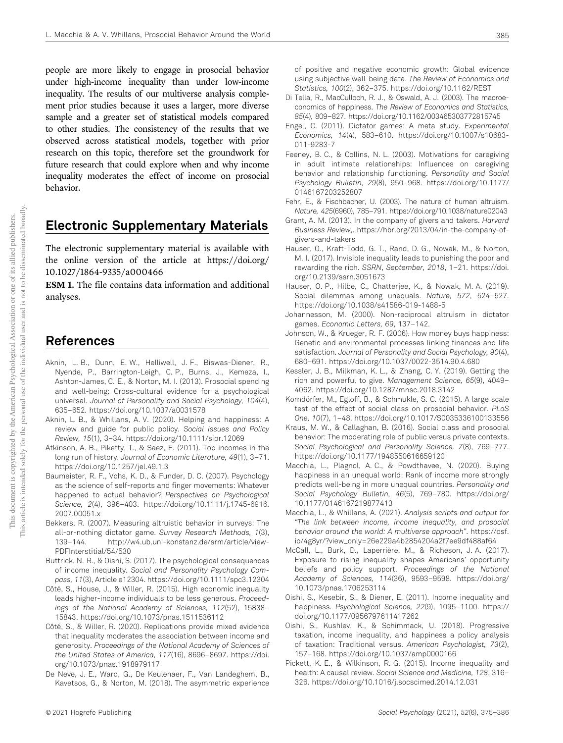people are more likely to engage in prosocial behavior under high-income inequality than under low-income inequality. The results of our multiverse analysis complement prior studies because it uses a larger, more diverse sample and a greater set of statistical models compared to other studies. The consistency of the results that we observed across statistical models, together with prior research on this topic, therefore set the groundwork for future research that could explore when and why income inequality moderates the effect of income on prosocial behavior.

## Electronic Supplementary Materials

The electronic supplementary material is available with the online version of the article at https://doi.org/ 10.1027/1864-9335/a000466

ESM 1. The file contains data information and additional analyses.

### References

- Aknin, L. B., Dunn, E. W., Helliwell, J. F., Biswas-Diener, R., Nyende, P., Barrington-Leigh, C. P., Burns, J., Kemeza, I., Ashton-James, C. E., & Norton, M. I. (2013). Prosocial spending and well-being: Cross-cultural evidence for a psychological universal. *Journal of Personality and Social Psychology, 104*(4), 635–652. https://doi.org/10.1037/a0031578
- Aknin, L. B., & Whillans, A. V. (2020). Helping and happiness: A review and guide for public policy. *Social Issues and Policy Review, 15*(1), 3–34. https://doi.org/10.1111/sipr.12069
- Atkinson, A. B., Piketty, T., & Saez, E. (2011). Top incomes in the long run of history. *Journal of Economic Literature, 49*(1), 3–71. https://doi.org/10.1257/jel.49.1.3
- Baumeister, R. F., Vohs, K. D., & Funder, D. C. (2007). Psychology as the science of self-reports and finger movements: Whatever happened to actual behavior? *Perspectives on Psychological Science, 2*(4), 396–403. https://doi.org/10.1111/j.1745-6916. 2007.00051.x
- Bekkers, R. (2007). Measuring altruistic behavior in surveys: The all-or-nothing dictator game. *Survey Research Methods, 1*(3), 139–144. http://w4.ub.uni-konstanz.de/srm/article/view-PDFInterstitial/54/530
- Buttrick, N. R., & Oishi, S. (2017). The psychological consequences of income inequality. *Social and Personality Psychology Compass, 11*(3), Article e12304. https://doi.org/10.1111/spc3.12304
- Côté, S., House, J., & Willer, R. (2015). High economic inequality leads higher-income individuals to be less generous. *Proceedings of the National Academy of Sciences, 112*(52), 15838– 15843. https://doi.org/10.1073/pnas.1511536112
- Côté, S., & Willer, R. (2020). Replications provide mixed evidence that inequality moderates the association between income and generosity. *Proceedings of the National Academy of Sciences of the United States of America, 117*(16), 8696–8697. https://doi. org/10.1073/pnas.1918979117
- De Neve, J. E., Ward, G., De Keulenaer, F., Van Landeghem, B., Kavetsos, G., & Norton, M. (2018). The asymmetric experience

of positive and negative economic growth: Global evidence using subjective well-being data. *The Review of Economics and Statistics, 100*(2), 362–375. https://doi.org/10.1162/REST

- Di Tella, R., MacCulloch, R. J., & Oswald, A. J. (2003). The macroeconomics of happiness. *The Review of Economics and Statistics, 85*(4), 809–827. https://doi.org/10.1162/003465303772815745
- Engel, C. (2011). Dictator games: A meta study. *Experimental Economics, 14*(4), 583–610. https://doi.org/10.1007/s10683- 011-9283-7
- Feeney, B. C., & Collins, N. L. (2003). Motivations for caregiving in adult intimate relationships: Influences on caregiving behavior and relationship functioning. *Personality and Social Psychology Bulletin, 29*(8), 950–968. https://doi.org/10.1177/ 0146167203252807
- Fehr, E., & Fischbacher, U. (2003). The nature of human altruism. *Nature, 425*(6960), 785–791. https://doi.org/10.1038/nature02043
- Grant, A. M. (2013). In the company of givers and takers. *Harvard Business Review*,. https://hbr.org/2013/04/in-the-company-ofgivers-and-takers
- Hauser, O., Kraft-Todd, G. T., Rand, D. G., Nowak, M., & Norton, M. I. (2017). Invisible inequality leads to punishing the poor and rewarding the rich. *SSRN*, *September, 2018*, 1–21. https://doi. org/10.2139/ssrn.3051673
- Hauser, O. P., Hilbe, C., Chatterjee, K., & Nowak, M. A. (2019). Social dilemmas among unequals. *Nature, 572*, 524–527. https://doi.org/10.1038/s41586-019-1488-5
- Johannesson, M. (2000). Non-reciprocal altruism in dictator games. *Economic Letters, 69*, 137–142.
- Johnson, W., & Krueger, R. F. (2006). How money buys happiness: Genetic and environmental processes linking finances and life satisfaction. *Journal of Personality and Social Psychology, 90*(4), 680–691. https://doi.org/10.1037/0022-3514.90.4.680
- Kessler, J. B., Milkman, K. L., & Zhang, C. Y. (2019). Getting the rich and powerful to give. *Management Science, 65*(9), 4049– 4062. https://doi.org/10.1287/mnsc.2018.3142
- Korndörfer, M., Egloff, B., & Schmukle, S. C. (2015). A large scale test of the effect of social class on prosocial behavior. *PLoS One, 10*(7), 1–48. https://doi.org/10.1017/S0035336100133556
- Kraus, M. W., & Callaghan, B. (2016). Social class and prosocial behavior: The moderating role of public versus private contexts. *Social Psychological and Personality Science, 7*(8), 769–777. https://doi.org/10.1177/1948550616659120
- Macchia, L., Plagnol, A. C., & Powdthavee, N. (2020). Buying happiness in an unequal world: Rank of income more strongly predicts well-being in more unequal countries. *Personality and Social Psychology Bulletin, 46*(5), 769–780. https://doi.org/ 10.1177/0146167219877413
- Macchia, L., & Whillans, A. (2021). *Analysis scripts and output for* "*The link between income, income inequality, and prosocial behavior around the world: A multiverse approach*". https://osf. io/4g8yr/?view\_only=26e229a4b2854204a2f7ee9df488af64
- McCall, L., Burk, D., Laperrière, M., & Richeson, J. A. (2017). Exposure to rising inequality shapes Americans' opportunity beliefs and policy support. *Proceedings of the National Academy of Sciences, 114*(36), 9593–9598. https://doi.org/ 10.1073/pnas.1706253114
- Oishi, S., Kesebir, S., & Diener, E. (2011). Income inequality and happiness. *Psychological Science, 22*(9), 1095–1100. https:// doi.org/10.1177/0956797611417262
- Oishi, S., Kushlev, K., & Schimmack, U. (2018). Progressive taxation, income inequality, and happiness a policy analysis of taxation: Traditional versus. *American Psychologist, 73*(2), 157–168. https://doi.org/10.1037/amp0000166
- Pickett, K. E., & Wilkinson, R. G. (2015). Income inequality and health: A causal review. *Social Science and Medicine, 128*, 316– 326. https://doi.org/10.1016/j.socscimed.2014.12.031